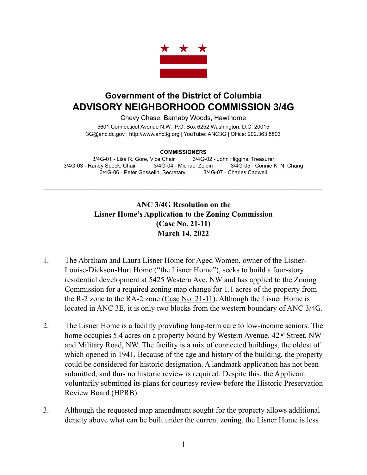

## **Government of the District of Columbia ADVISORY NEIGHBORHOOD COMMISSION 3/4G**

Chevy Chase, Barnaby Woods, Hawthorne

5601 Connecticut Avenue N.W. P.O. Box 6252 Washington, D.C. 20015 3G@anc.dc.gov | <http://www.anc3g.org>| YouTube: ANC3G | Office: 202.363.5803

## **COMMISSIONERS**

3/4G-01 - Lisa R. Gore, Vice Chair 3/4G-02 - John Higgins, Treasurer 3/4G-03 - Randy Speck, Chair 3/4G-04 - Michael Zeldin 3/4G-05 - Connie K. N. Chang 3/4G-06 - Peter Gosselin, Secretary 3/4G-07 - Charles Cadwell

\_\_\_\_\_\_\_\_\_\_\_\_\_\_\_\_\_\_\_\_\_\_\_\_\_\_\_\_\_\_\_\_\_\_\_\_\_\_\_\_\_\_\_\_\_\_\_\_\_\_\_\_\_\_\_\_\_\_\_\_\_\_\_\_\_\_\_\_\_\_\_\_\_\_\_\_

## **ANC 3/4G Resolution on the Lisner Home's Application to the Zoning Commission (Case No. 21-11) March 14, 2022**

- 1. The Abraham and Laura Lisner Home for Aged Women, owner of the Lisner-Louise-Dickson-Hurt Home ("the Lisner Home"), seeks to build a four-story residential development at 5425 Western Ave, NW and has applied to the Zoning Commission for a required zoning map change for 1.1 acres of the property from the R-2 zone to the RA-2 zone [\(Case No. 21-11](https://app.dcoz.dc.gov/CaseReport/CaseReportPage.aspx?case_id=21-11)). Although the Lisner Home is located in ANC 3E, it is only two blocks from the western boundary of ANC 3/4G.
- 2. The Lisner Home is a facility providing long-term care to low-income seniors. The home occupies 5.4 acres on a property bound by Western Avenue,  $42<sup>nd</sup>$  Street, NW and Military Road, NW. The facility is a mix of connected buildings, the oldest of which opened in 1941. Because of the age and history of the building, the property could be considered for historic designation. A landmark application has not been submitted, and thus no historic review is required. Despite this, the Applicant voluntarily submitted its plans for courtesy review before the Historic Preservation Review Board (HPRB).
- 3. Although the requested map amendment sought for the property allows additional density above what can be built under the current zoning, the Lisner Home is less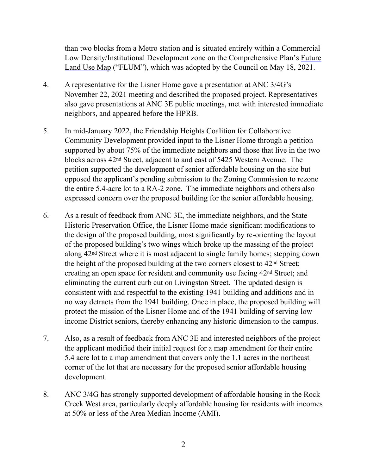than two blocks from a Metro station and is situated entirely within a Commercial Low Density/Institutional Development zone on the Comprehensive Plan's [Future](https://plandc.dc.gov/page/future-land-use-map-and-generalized-policy-map) [Land Use Map](https://plandc.dc.gov/page/future-land-use-map-and-generalized-policy-map) ("FLUM"), which was adopted by the Council on May 18, 2021.

- 4. A representative for the Lisner Home gave a presentation at ANC 3/4G's November 22, 2021 meeting and described the proposed project. Representatives also gave presentations at ANC 3E public meetings, met with interested immediate neighbors, and appeared before the HPRB.
- 5. In mid-January 2022, the Friendship Heights Coalition for Collaborative Community Development provided input to the Lisner Home through a petition supported by about 75% of the immediate neighbors and those that live in the two blocks across 42nd Street, adjacent to and east of 5425 Western Avenue. The petition supported the development of senior affordable housing on the site but opposed the applicant's pending submission to the Zoning Commission to rezone the entire 5.4-acre lot to a RA-2 zone. The immediate neighbors and others also expressed concern over the proposed building for the senior affordable housing.
- 6. As a result of feedback from ANC 3E, the immediate neighbors, and the State Historic Preservation Office, the Lisner Home made significant modifications to the design of the proposed building, most significantly by re-orienting the layout of the proposed building's two wings which broke up the massing of the project along 42nd Street where it is most adjacent to single family homes; stepping down the height of the proposed building at the two corners closest to 42nd Street; creating an open space for resident and community use facing 42nd Street; and eliminating the current curb cut on Livingston Street. The updated design is consistent with and respectful to the existing 1941 building and additions and in no way detracts from the 1941 building. Once in place, the proposed building will protect the mission of the Lisner Home and of the 1941 building of serving low income District seniors, thereby enhancing any historic dimension to the campus.
- 7. Also, as a result of feedback from ANC 3E and interested neighbors of the project the applicant modified their initial request for a map amendment for their entire 5.4 acre lot to a map amendment that covers only the 1.1 acres in the northeast corner of the lot that are necessary for the proposed senior affordable housing development.
- 8. ANC 3/4G has strongly supported development of affordable housing in the Rock Creek West area, particularly deeply affordable housing for residents with incomes at 50% or less of the Area Median Income (AMI).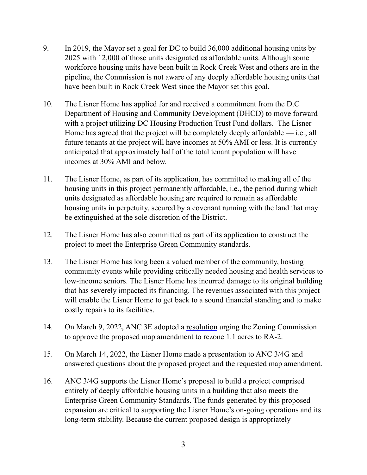- 9. In 2019, the Mayor set a goal for DC to build 36,000 additional housing units by 2025 with 12,000 of those units designated as affordable units. Although some workforce housing units have been built in Rock Creek West and others are in the pipeline, the Commission is not aware of any deeply affordable housing units that have been built in Rock Creek West since the Mayor set this goal.
- 10. The Lisner Home has applied for and received a commitment from the D.C Department of Housing and Community Development (DHCD) to move forward with a project utilizing DC Housing Production Trust Fund dollars. The Lisner Home has agreed that the project will be completely deeply affordable  $-$  i.e., all future tenants at the project will have incomes at 50% AMI or less. It is currently anticipated that approximately half of the total tenant population will have incomes at 30% AMI and below.
- 11. The Lisner Home, as part of its application, has committed to making all of the housing units in this project permanently affordable, i.e., the period during which units designated as affordable housing are required to remain as affordable housing units in perpetuity, secured by a covenant running with the land that may be extinguished at the sole discretion of the District.
- 12. The Lisner Home has also committed as part of its application to construct the project to meet the [Enterprise Green Community](https://www.greencommunitiesonline.org/checklist) standards.
- 13. The Lisner Home has long been a valued member of the community, hosting community events while providing critically needed housing and health services to low-income seniors. The Lisner Home has incurred damage to its original building that has severely impacted its financing. The revenues associated with this project will enable the Lisner Home to get back to a sound financial standing and to make costly repairs to its facilities.
- 14. On March 9, 2022, ANC 3E adopted a [resolution](https://anc3e.org/wp-content/uploads/Lisner-Home-ZC-Resolution-Draft-2.docx) urging the Zoning Commission to approve the proposed map amendment to rezone 1.1 acres to RA-2.
- 15. On March 14, 2022, the Lisner Home made a presentation to ANC 3/4G and answered questions about the proposed project and the requested map amendment.
- 16. ANC 3/4G supports the Lisner Home's proposal to build a project comprised entirely of deeply affordable housing units in a building that also meets the Enterprise Green Community Standards. The funds generated by this proposed expansion are critical to supporting the Lisner Home's on-going operations and its long-term stability. Because the current proposed design is appropriately